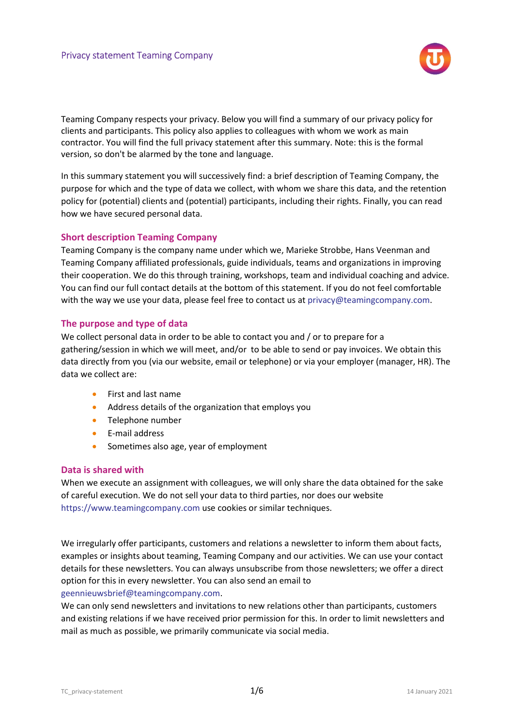

Teaming Company respects your privacy. Below you will find a summary of our privacy policy for clients and participants. This policy also applies to colleagues with whom we work as main contractor. You will find the full privacy statement after this summary. Note: this is the formal version, so don't be alarmed by the tone and language.

In this summary statement you will successively find: a brief description of Teaming Company, the purpose for which and the type of data we collect, with whom we share this data, and the retention policy for (potential) clients and (potential) participants, including their rights. Finally, you can read how we have secured personal data.

## Short description Teaming Company

Teaming Company is the company name under which we, Marieke Strobbe, Hans Veenman and Teaming Company affiliated professionals, guide individuals, teams and organizations in improving their cooperation. We do this through training, workshops, team and individual coaching and advice. You can find our full contact details at the bottom of this statement. If you do not feel comfortable with the way we use your data, please feel free to contact us at privacy@teamingcompany.com.

## The purpose and type of data

We collect personal data in order to be able to contact you and / or to prepare for a gathering/session in which we will meet, and/or to be able to send or pay invoices. We obtain this data directly from you (via our website, email or telephone) or via your employer (manager, HR). The data we collect are:

- First and last name
- Address details of the organization that employs you
- Telephone number
- E-mail address
- **Sometimes also age, year of employment**

## Data is shared with

When we execute an assignment with colleagues, we will only share the data obtained for the sake of careful execution. We do not sell your data to third parties, nor does our website https://www.teamingcompany.com use cookies or similar techniques.

We irregularly offer participants, customers and relations a newsletter to inform them about facts, examples or insights about teaming, Teaming Company and our activities. We can use your contact details for these newsletters. You can always unsubscribe from those newsletters; we offer a direct option for this in every newsletter. You can also send an email to geennieuwsbrief@teamingcompany.com.

We can only send newsletters and invitations to new relations other than participants, customers and existing relations if we have received prior permission for this. In order to limit newsletters and mail as much as possible, we primarily communicate via social media.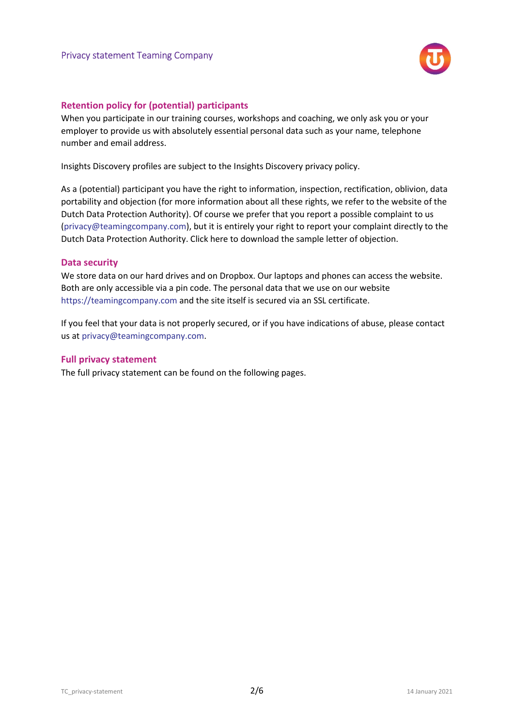

# Retention policy for (potential) participants

When you participate in our training courses, workshops and coaching, we only ask you or your employer to provide us with absolutely essential personal data such as your name, telephone number and email address.

Insights Discovery profiles are subject to the Insights Discovery privacy policy.

As a (potential) participant you have the right to information, inspection, rectification, oblivion, data portability and objection (for more information about all these rights, we refer to the website of the Dutch Data Protection Authority). Of course we prefer that you report a possible complaint to us (privacy@teamingcompany.com), but it is entirely your right to report your complaint directly to the Dutch Data Protection Authority. Click here to download the sample letter of objection.

## Data security

We store data on our hard drives and on Dropbox. Our laptops and phones can access the website. Both are only accessible via a pin code. The personal data that we use on our website https://teamingcompany.com and the site itself is secured via an SSL certificate.

If you feel that your data is not properly secured, or if you have indications of abuse, please contact us at privacy@teamingcompany.com.

## Full privacy statement

The full privacy statement can be found on the following pages.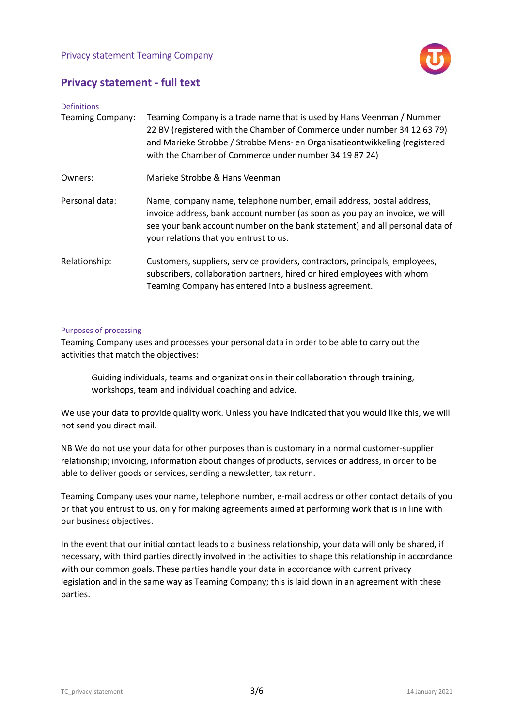# Privacy statement Teaming Company



# Privacy statement - full text

| <b>Definitions</b>      |                                                                                                                                                                                                                                                                                           |
|-------------------------|-------------------------------------------------------------------------------------------------------------------------------------------------------------------------------------------------------------------------------------------------------------------------------------------|
| <b>Teaming Company:</b> | Teaming Company is a trade name that is used by Hans Veenman / Nummer<br>22 BV (registered with the Chamber of Commerce under number 34 12 63 79)<br>and Marieke Strobbe / Strobbe Mens- en Organisatieontwikkeling (registered<br>with the Chamber of Commerce under number 34 19 87 24) |
| Owners:                 | Marieke Strobbe & Hans Veenman                                                                                                                                                                                                                                                            |
| Personal data:          | Name, company name, telephone number, email address, postal address,<br>invoice address, bank account number (as soon as you pay an invoice, we will<br>see your bank account number on the bank statement) and all personal data of<br>your relations that you entrust to us.            |
| Relationship:           | Customers, suppliers, service providers, contractors, principals, employees,<br>subscribers, collaboration partners, hired or hired employees with whom<br>Teaming Company has entered into a business agreement.                                                                         |

## Purposes of processing

Teaming Company uses and processes your personal data in order to be able to carry out the activities that match the objectives:

Guiding individuals, teams and organizations in their collaboration through training, workshops, team and individual coaching and advice.

We use your data to provide quality work. Unless you have indicated that you would like this, we will not send you direct mail.

NB We do not use your data for other purposes than is customary in a normal customer-supplier relationship; invoicing, information about changes of products, services or address, in order to be able to deliver goods or services, sending a newsletter, tax return.

Teaming Company uses your name, telephone number, e-mail address or other contact details of you or that you entrust to us, only for making agreements aimed at performing work that is in line with our business objectives.

In the event that our initial contact leads to a business relationship, your data will only be shared, if necessary, with third parties directly involved in the activities to shape this relationship in accordance with our common goals. These parties handle your data in accordance with current privacy legislation and in the same way as Teaming Company; this is laid down in an agreement with these parties.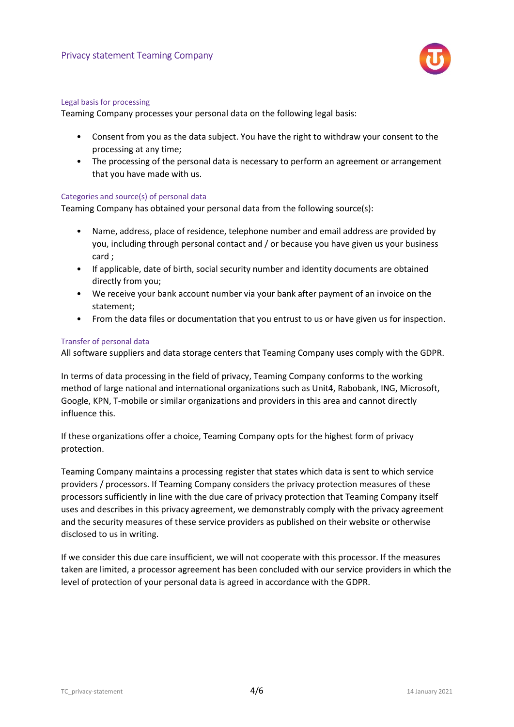

#### Legal basis for processing

Teaming Company processes your personal data on the following legal basis:

- Consent from you as the data subject. You have the right to withdraw your consent to the processing at any time;
- The processing of the personal data is necessary to perform an agreement or arrangement that you have made with us.

## Categories and source(s) of personal data

Teaming Company has obtained your personal data from the following source(s):

- Name, address, place of residence, telephone number and email address are provided by you, including through personal contact and / or because you have given us your business card ;
- If applicable, date of birth, social security number and identity documents are obtained directly from you;
- We receive your bank account number via your bank after payment of an invoice on the statement;
- From the data files or documentation that you entrust to us or have given us for inspection.

## Transfer of personal data

All software suppliers and data storage centers that Teaming Company uses comply with the GDPR.

In terms of data processing in the field of privacy, Teaming Company conforms to the working method of large national and international organizations such as Unit4, Rabobank, ING, Microsoft, Google, KPN, T-mobile or similar organizations and providers in this area and cannot directly influence this.

If these organizations offer a choice, Teaming Company opts for the highest form of privacy protection.

Teaming Company maintains a processing register that states which data is sent to which service providers / processors. If Teaming Company considers the privacy protection measures of these processors sufficiently in line with the due care of privacy protection that Teaming Company itself uses and describes in this privacy agreement, we demonstrably comply with the privacy agreement and the security measures of these service providers as published on their website or otherwise disclosed to us in writing.

If we consider this due care insufficient, we will not cooperate with this processor. If the measures taken are limited, a processor agreement has been concluded with our service providers in which the level of protection of your personal data is agreed in accordance with the GDPR.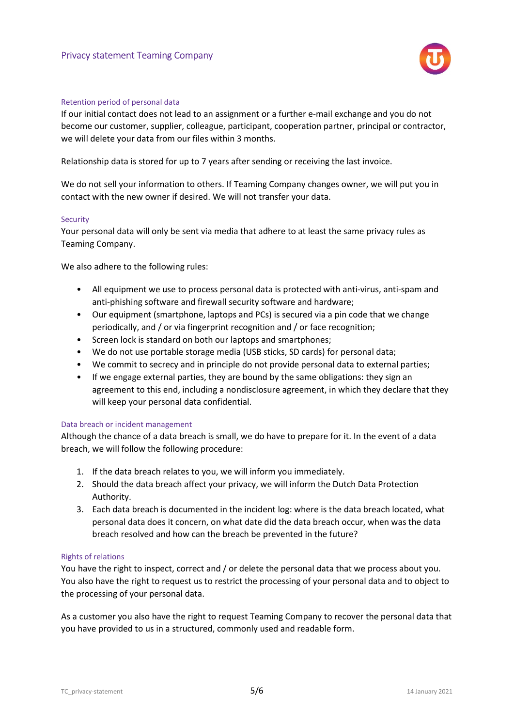

#### Retention period of personal data

If our initial contact does not lead to an assignment or a further e-mail exchange and you do not become our customer, supplier, colleague, participant, cooperation partner, principal or contractor, we will delete your data from our files within 3 months.

Relationship data is stored for up to 7 years after sending or receiving the last invoice.

We do not sell your information to others. If Teaming Company changes owner, we will put you in contact with the new owner if desired. We will not transfer your data.

#### Security

Your personal data will only be sent via media that adhere to at least the same privacy rules as Teaming Company.

We also adhere to the following rules:

- All equipment we use to process personal data is protected with anti-virus, anti-spam and anti-phishing software and firewall security software and hardware;
- Our equipment (smartphone, laptops and PCs) is secured via a pin code that we change periodically, and / or via fingerprint recognition and / or face recognition;
- Screen lock is standard on both our laptops and smartphones;
- We do not use portable storage media (USB sticks, SD cards) for personal data;
- We commit to secrecy and in principle do not provide personal data to external parties;
- If we engage external parties, they are bound by the same obligations: they sign an agreement to this end, including a nondisclosure agreement, in which they declare that they will keep your personal data confidential.

#### Data breach or incident management

Although the chance of a data breach is small, we do have to prepare for it. In the event of a data breach, we will follow the following procedure:

- 1. If the data breach relates to you, we will inform you immediately.
- 2. Should the data breach affect your privacy, we will inform the Dutch Data Protection Authority.
- 3. Each data breach is documented in the incident log: where is the data breach located, what personal data does it concern, on what date did the data breach occur, when was the data breach resolved and how can the breach be prevented in the future?

#### Rights of relations

You have the right to inspect, correct and / or delete the personal data that we process about you. You also have the right to request us to restrict the processing of your personal data and to object to the processing of your personal data.

As a customer you also have the right to request Teaming Company to recover the personal data that you have provided to us in a structured, commonly used and readable form.